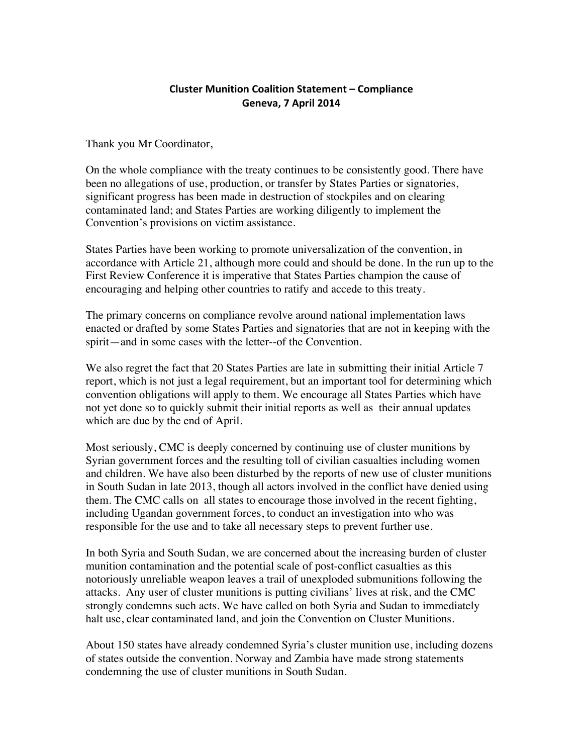## **Cluster Munition Coalition Statement - Compliance Geneva, 7 April 2014**

Thank you Mr Coordinator,

On the whole compliance with the treaty continues to be consistently good. There have been no allegations of use, production, or transfer by States Parties or signatories, significant progress has been made in destruction of stockpiles and on clearing contaminated land; and States Parties are working diligently to implement the Convention's provisions on victim assistance.

States Parties have been working to promote universalization of the convention, in accordance with Article 21, although more could and should be done. In the run up to the First Review Conference it is imperative that States Parties champion the cause of encouraging and helping other countries to ratify and accede to this treaty.

The primary concerns on compliance revolve around national implementation laws enacted or drafted by some States Parties and signatories that are not in keeping with the spirit—and in some cases with the letter--of the Convention.

We also regret the fact that 20 States Parties are late in submitting their initial Article 7 report, which is not just a legal requirement, but an important tool for determining which convention obligations will apply to them. We encourage all States Parties which have not yet done so to quickly submit their initial reports as well as their annual updates which are due by the end of April.

Most seriously, CMC is deeply concerned by continuing use of cluster munitions by Syrian government forces and the resulting toll of civilian casualties including women and children. We have also been disturbed by the reports of new use of cluster munitions in South Sudan in late 2013, though all actors involved in the conflict have denied using them. The CMC calls on all states to encourage those involved in the recent fighting, including Ugandan government forces, to conduct an investigation into who was responsible for the use and to take all necessary steps to prevent further use.

In both Syria and South Sudan, we are concerned about the increasing burden of cluster munition contamination and the potential scale of post-conflict casualties as this notoriously unreliable weapon leaves a trail of unexploded submunitions following the attacks. Any user of cluster munitions is putting civilians' lives at risk, and the CMC strongly condemns such acts. We have called on both Syria and Sudan to immediately halt use, clear contaminated land, and join the Convention on Cluster Munitions.

About 150 states have already condemned Syria's cluster munition use, including dozens of states outside the convention. Norway and Zambia have made strong statements condemning the use of cluster munitions in South Sudan.